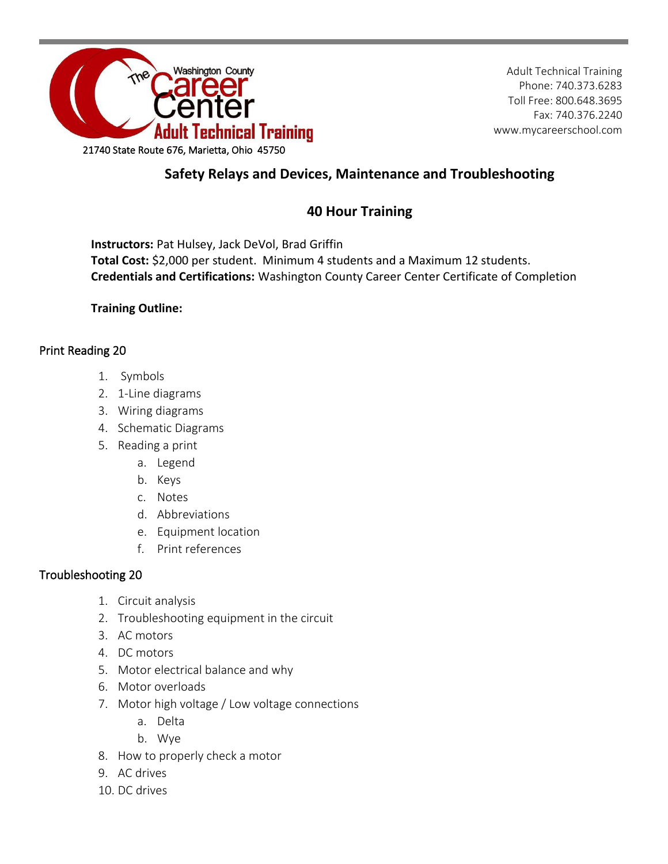

Adult Technical Training Phone: 740.373.6283 Toll Free: 800.648.3695 Fax: 740.376.2240 www.mycareerschool.com

## **Safety Relays and Devices, Maintenance and Troubleshooting**

## **40 Hour Training**

**Instructors:** Pat Hulsey, Jack DeVol, Brad Griffin **Total Cost:** \$2,000 per student. Minimum 4 students and a Maximum 12 students. **Credentials and Certifications:** Washington County Career Center Certificate of Completion

**Training Outline:**

## Print Reading 20

- 1. Symbols
- 2. 1-Line diagrams
- 3. Wiring diagrams
- 4. Schematic Diagrams
- 5. Reading a print
	- a. Legend
	- b. Keys
	- c. Notes
	- d. Abbreviations
	- e. Equipment location
	- f. Print references

## Troubleshooting 20

- 1. Circuit analysis
- 2. Troubleshooting equipment in the circuit
- 3. AC motors
- 4. DC motors
- 5. Motor electrical balance and why
- 6. Motor overloads
- 7. Motor high voltage / Low voltage connections
	- a. Delta
	- b. Wye
- 8. How to properly check a motor
- 9. AC drives
- 10. DC drives